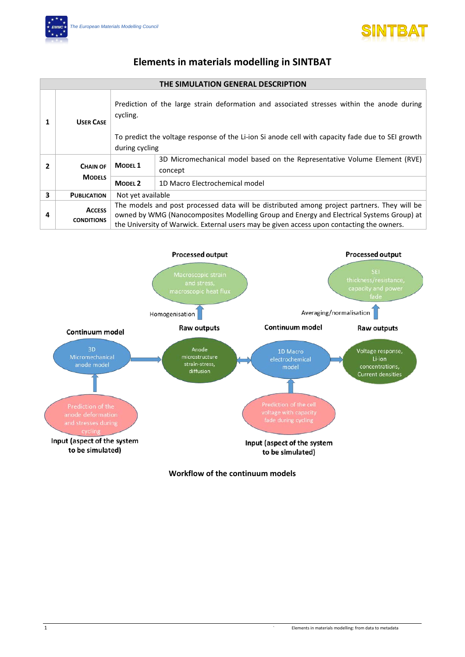



## **Elements in materials modelling in SINTBAT**

## **THE SIMULATION GENERAL DESCRIPTION**

| 1 | <b>USER CASE</b>                   | Prediction of the large strain deformation and associated stresses within the anode during<br>cycling.<br>To predict the voltage response of the Li-ion Si anode cell with capacity fade due to SEI growth<br>during cycling                                                         |                                                                                      |  |
|---|------------------------------------|--------------------------------------------------------------------------------------------------------------------------------------------------------------------------------------------------------------------------------------------------------------------------------------|--------------------------------------------------------------------------------------|--|
| 2 | <b>CHAIN OF</b>                    | <b>MODEL 1</b>                                                                                                                                                                                                                                                                       | 3D Micromechanical model based on the Representative Volume Element (RVE)<br>concept |  |
|   | <b>MODELS</b>                      | <b>MODEL 2</b>                                                                                                                                                                                                                                                                       | 1D Macro Electrochemical model                                                       |  |
| 3 | <b>PUBLICATION</b>                 | Not yet available                                                                                                                                                                                                                                                                    |                                                                                      |  |
| 4 | <b>ACCESS</b><br><b>CONDITIONS</b> | The models and post processed data will be distributed among project partners. They will be<br>owned by WMG (Nanocomposites Modelling Group and Energy and Electrical Systems Group) at<br>the University of Warwick. External users may be given access upon contacting the owners. |                                                                                      |  |



**Workflow of the continuum models**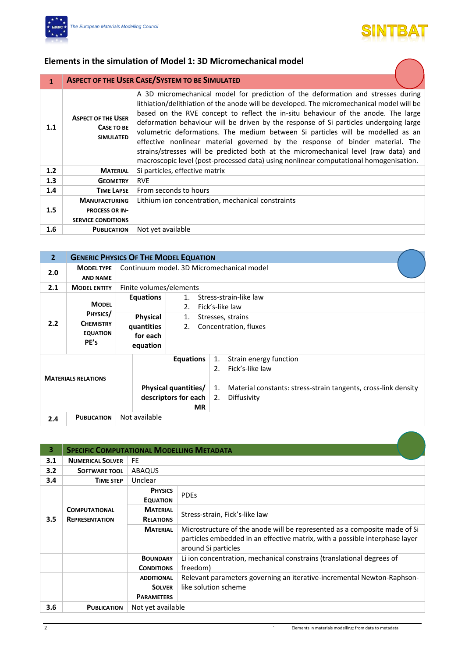



**The Second Service** 

## **Elements in the simulation of Model 1: 3D Micromechanical model**

| 1   |                                                                                                                                                                                                                                                                                                                                                                                                                                                                                                                                                                                                                                                                                                                                                                                | <b>ASPECT OF THE USER CASE/SYSTEM TO BE SIMULATED</b> |
|-----|--------------------------------------------------------------------------------------------------------------------------------------------------------------------------------------------------------------------------------------------------------------------------------------------------------------------------------------------------------------------------------------------------------------------------------------------------------------------------------------------------------------------------------------------------------------------------------------------------------------------------------------------------------------------------------------------------------------------------------------------------------------------------------|-------------------------------------------------------|
| 1.1 | A 3D micromechanical model for prediction of the deformation and stresses during<br>lithiation/delithiation of the anode will be developed. The micromechanical model will be<br>based on the RVE concept to reflect the in-situ behaviour of the anode. The large<br><b>ASPECT OF THE USER</b><br>deformation behaviour will be driven by the response of Si particles undergoing large<br>CASE TO BE<br>volumetric deformations. The medium between Si particles will be modelled as an<br><b>SIMULATED</b><br>effective nonlinear material governed by the response of binder material. The<br>strains/stresses will be predicted both at the micromechanical level (raw data) and<br>macroscopic level (post-processed data) using nonlinear computational homogenisation. |                                                       |
| 1.2 | <b>MATERIAL</b>                                                                                                                                                                                                                                                                                                                                                                                                                                                                                                                                                                                                                                                                                                                                                                | Si particles, effective matrix                        |
| 1.3 | <b>GEOMETRY</b>                                                                                                                                                                                                                                                                                                                                                                                                                                                                                                                                                                                                                                                                                                                                                                | <b>RVE</b>                                            |
| 1.4 | <b>TIME LAPSE</b>                                                                                                                                                                                                                                                                                                                                                                                                                                                                                                                                                                                                                                                                                                                                                              | From seconds to hours                                 |
| 1.5 | <b>MANUFACTURING</b><br><b>PROCESS OR IN-</b><br><b>SERVICE CONDITIONS</b>                                                                                                                                                                                                                                                                                                                                                                                                                                                                                                                                                                                                                                                                                                     | Lithium ion concentration, mechanical constraints     |
| 1.6 | <b>PUBLICATION</b>                                                                                                                                                                                                                                                                                                                                                                                                                                                                                                                                                                                                                                                                                                                                                             | Not yet available                                     |

| $\overline{2}$             |                                                                         | <b>GENERIC PHYSICS OF THE MODEL EQUATION</b>                |                                           |                                                                                                                                                    |  |  |  |
|----------------------------|-------------------------------------------------------------------------|-------------------------------------------------------------|-------------------------------------------|----------------------------------------------------------------------------------------------------------------------------------------------------|--|--|--|
| 2.0                        | <b>MODEL TYPE</b><br><b>AND NAME</b>                                    |                                                             | Continuum model, 3D Micromechanical model |                                                                                                                                                    |  |  |  |
| 2.1                        | <b>MODEL ENTITY</b>                                                     | Finite volumes/elements                                     |                                           |                                                                                                                                                    |  |  |  |
| 2.2                        | <b>MODEL</b><br>PHYSICS/<br><b>CHEMISTRY</b><br><b>EQUATION</b><br>PE's | Equations<br>Physical<br>quantities<br>for each<br>equation | $1_{-}$<br>2.<br>1.<br>2.                 | Stress-strain-like law<br>Fick's-like law<br>Stresses, strains<br>Concentration, fluxes                                                            |  |  |  |
| <b>MATERIALS RELATIONS</b> |                                                                         | <b>Physical quantities/</b><br>descriptors for each         | <b>Equations</b><br><b>MR</b>             | Strain energy function<br>1.<br>Fick's-like law<br>2.<br>Material constants: stress-strain tangents, cross-link density<br>1.<br>2.<br>Diffusivity |  |  |  |
| 2.4                        | <b>PUBLICATION</b>                                                      | Not available                                               |                                           |                                                                                                                                                    |  |  |  |

| 3.  | <b>SPECIFIC COMPUTATIONAL MODELLING METADATA</b> |                                                         |                                                                                                                                                                                 |  |  |  |
|-----|--------------------------------------------------|---------------------------------------------------------|---------------------------------------------------------------------------------------------------------------------------------------------------------------------------------|--|--|--|
| 3.1 | <b>NUMERICAL SOLVER</b>                          | <b>FE</b>                                               |                                                                                                                                                                                 |  |  |  |
| 3.2 | <b>SOFTWARE TOOL</b>                             | ABAQUS                                                  |                                                                                                                                                                                 |  |  |  |
| 3.4 | <b>TIME STEP</b>                                 | Unclear                                                 |                                                                                                                                                                                 |  |  |  |
|     | <b>COMPUTATIONAL</b><br><b>REPRESENTATION</b>    | <b>PHYSICS</b><br><b>EQUATION</b>                       | <b>PDEs</b>                                                                                                                                                                     |  |  |  |
| 3.5 |                                                  | <b>MATERIAL</b><br><b>RELATIONS</b>                     | Stress-strain, Fick's-like law                                                                                                                                                  |  |  |  |
|     |                                                  | <b>MATERIAL</b>                                         | Microstructure of the anode will be represented as a composite made of Si<br>particles embedded in an effective matrix, with a possible interphase layer<br>around Si particles |  |  |  |
|     |                                                  | <b>BOUNDARY</b><br><b>CONDITIONS</b>                    | Li ion concentration, mechanical constrains (translational degrees of<br>freedom)                                                                                               |  |  |  |
|     |                                                  | <b>ADDITIONAL</b><br><b>SOLVER</b><br><b>PARAMETERS</b> | Relevant parameters governing an iterative-incremental Newton-Raphson-<br>like solution scheme                                                                                  |  |  |  |
| 3.6 | <b>PUBLICATION</b>                               | Not yet available                                       |                                                                                                                                                                                 |  |  |  |